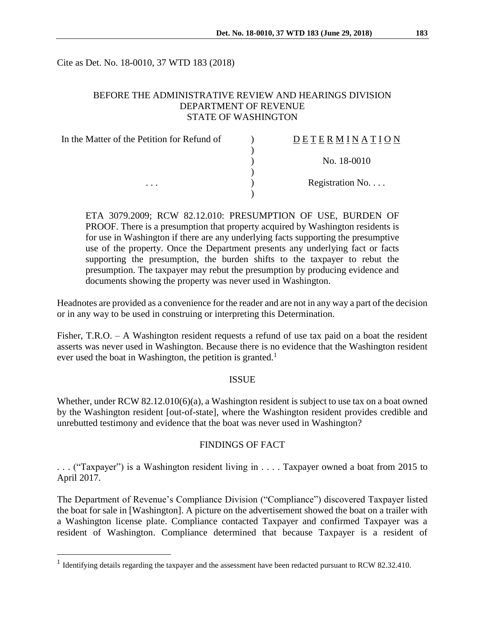Cite as Det. No. 18-0010, 37 WTD 183 (2018)

## BEFORE THE ADMINISTRATIVE REVIEW AND HEARINGS DIVISION DEPARTMENT OF REVENUE STATE OF WASHINGTON

| In the Matter of the Petition for Refund of | DETERMINATION            |
|---------------------------------------------|--------------------------|
|                                             | No. 18-0010              |
|                                             |                          |
| $\cdots$                                    | Registration No. $\dots$ |

ETA 3079.2009; RCW 82.12.010: PRESUMPTION OF USE, BURDEN OF PROOF. There is a presumption that property acquired by Washington residents is for use in Washington if there are any underlying facts supporting the presumptive use of the property. Once the Department presents any underlying fact or facts supporting the presumption, the burden shifts to the taxpayer to rebut the presumption. The taxpayer may rebut the presumption by producing evidence and documents showing the property was never used in Washington.

Headnotes are provided as a convenience for the reader and are not in any way a part of the decision or in any way to be used in construing or interpreting this Determination.

Fisher, T.R.O. – A Washington resident requests a refund of use tax paid on a boat the resident asserts was never used in Washington. Because there is no evidence that the Washington resident ever used the boat in Washington, the petition is granted.<sup>1</sup>

### **ISSUE**

Whether, under RCW  $82.12.010(6)(a)$ , a Washington resident is subject to use tax on a boat owned by the Washington resident [out-of-state], where the Washington resident provides credible and unrebutted testimony and evidence that the boat was never used in Washington?

#### FINDINGS OF FACT

. . . ("Taxpayer") is a Washington resident living in . . . . Taxpayer owned a boat from 2015 to April 2017.

The Department of Revenue's Compliance Division ("Compliance") discovered Taxpayer listed the boat for sale in [Washington]. A picture on the advertisement showed the boat on a trailer with a Washington license plate. Compliance contacted Taxpayer and confirmed Taxpayer was a resident of Washington. Compliance determined that because Taxpayer is a resident of

 $\overline{a}$ 

<sup>&</sup>lt;sup>1</sup> Identifying details regarding the taxpayer and the assessment have been redacted pursuant to RCW 82.32.410.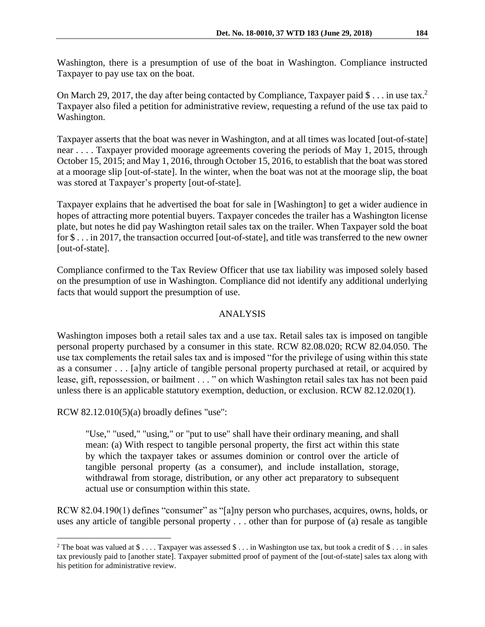Washington, there is a presumption of use of the boat in Washington. Compliance instructed Taxpayer to pay use tax on the boat.

On March 29, 2017, the day after being contacted by Compliance, Taxpayer paid \$ . . . in use tax.<sup>2</sup> Taxpayer also filed a petition for administrative review, requesting a refund of the use tax paid to Washington.

Taxpayer asserts that the boat was never in Washington, and at all times was located [out-of-state] near . . . . Taxpayer provided moorage agreements covering the periods of May 1, 2015, through October 15, 2015; and May 1, 2016, through October 15, 2016, to establish that the boat was stored at a moorage slip [out-of-state]. In the winter, when the boat was not at the moorage slip, the boat was stored at Taxpayer's property [out-of-state].

Taxpayer explains that he advertised the boat for sale in [Washington] to get a wider audience in hopes of attracting more potential buyers. Taxpayer concedes the trailer has a Washington license plate, but notes he did pay Washington retail sales tax on the trailer. When Taxpayer sold the boat for \$ . . . in 2017, the transaction occurred [out-of-state], and title was transferred to the new owner [out-of-state].

Compliance confirmed to the Tax Review Officer that use tax liability was imposed solely based on the presumption of use in Washington. Compliance did not identify any additional underlying facts that would support the presumption of use.

# ANALYSIS

Washington imposes both a retail sales tax and a use tax. Retail sales tax is imposed on tangible personal property purchased by a consumer in this state. RCW 82.08.020; RCW 82.04.050. The use tax complements the retail sales tax and is imposed "for the privilege of using within this state as a consumer . . . [a]ny article of tangible personal property purchased at retail, or acquired by lease, gift, repossession, or bailment . . . " on which Washington retail sales tax has not been paid unless there is an applicable statutory exemption, deduction, or exclusion. RCW 82.12.020(1).

RCW 82.12.010(5)(a) broadly defines "use":

 $\overline{a}$ 

"Use," "used," "using," or "put to use" shall have their ordinary meaning, and shall mean: (a) With respect to tangible personal property, the first act within this state by which the taxpayer takes or assumes dominion or control over the article of tangible personal property (as a consumer), and include installation, storage, withdrawal from storage, distribution, or any other act preparatory to subsequent actual use or consumption within this state.

RCW 82.04.190(1) defines "consumer" as "[a]ny person who purchases, acquires, owns, holds, or uses any article of tangible personal property . . . other than for purpose of (a) resale as tangible

<sup>&</sup>lt;sup>2</sup> The boat was valued at  $\$\dots$  Taxpayer was assessed  $\$\dots$  in Washington use tax, but took a credit of  $\$\dots$  in sales tax previously paid to [another state]. Taxpayer submitted proof of payment of the [out-of-state] sales tax along with his petition for administrative review.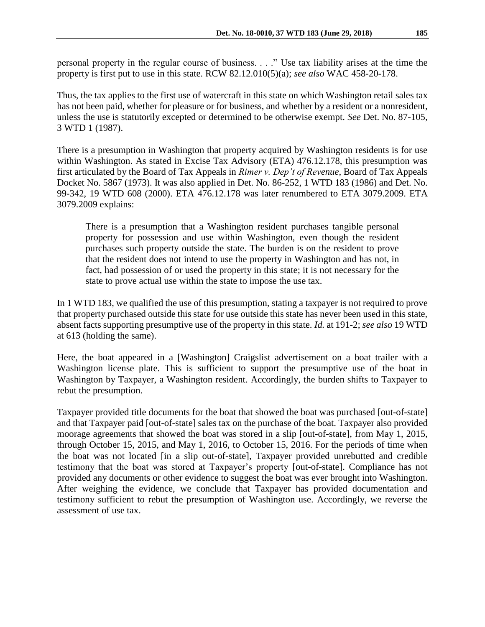personal property in the regular course of business. . . ." Use tax liability arises at the time the property is first put to use in this state. RCW 82.12.010(5)(a); *see also* WAC 458-20-178.

Thus, the tax applies to the first use of watercraft in this state on which Washington retail sales tax has not been paid, whether for pleasure or for business, and whether by a resident or a nonresident, unless the use is statutorily excepted or determined to be otherwise exempt. *See* Det. No. 87-105, 3 WTD 1 (1987).

There is a presumption in Washington that property acquired by Washington residents is for use within Washington. As stated in Excise Tax Advisory (ETA) 476.12.178, this presumption was first articulated by the Board of Tax Appeals in *Rimer v. Dep't of Revenue*, Board of Tax Appeals Docket No. 5867 (1973). It was also applied in Det. No. 86-252, 1 WTD 183 (1986) and Det. No. 99-342, 19 WTD 608 (2000). ETA 476.12.178 was later renumbered to ETA 3079.2009. ETA 3079.2009 explains:

There is a presumption that a Washington resident purchases tangible personal property for possession and use within Washington, even though the resident purchases such property outside the state. The burden is on the resident to prove that the resident does not intend to use the property in Washington and has not, in fact, had possession of or used the property in this state; it is not necessary for the state to prove actual use within the state to impose the use tax.

In 1 WTD 183, we qualified the use of this presumption, stating a taxpayer is not required to prove that property purchased outside this state for use outside this state has never been used in this state, absent facts supporting presumptive use of the property in this state. *Id.* at 191-2; *see also* 19 WTD at 613 (holding the same).

Here, the boat appeared in a [Washington] Craigslist advertisement on a boat trailer with a Washington license plate. This is sufficient to support the presumptive use of the boat in Washington by Taxpayer, a Washington resident. Accordingly, the burden shifts to Taxpayer to rebut the presumption.

Taxpayer provided title documents for the boat that showed the boat was purchased [out-of-state] and that Taxpayer paid [out-of-state] sales tax on the purchase of the boat. Taxpayer also provided moorage agreements that showed the boat was stored in a slip [out-of-state], from May 1, 2015, through October 15, 2015, and May 1, 2016, to October 15, 2016. For the periods of time when the boat was not located [in a slip out-of-state], Taxpayer provided unrebutted and credible testimony that the boat was stored at Taxpayer's property [out-of-state]. Compliance has not provided any documents or other evidence to suggest the boat was ever brought into Washington. After weighing the evidence, we conclude that Taxpayer has provided documentation and testimony sufficient to rebut the presumption of Washington use. Accordingly, we reverse the assessment of use tax.